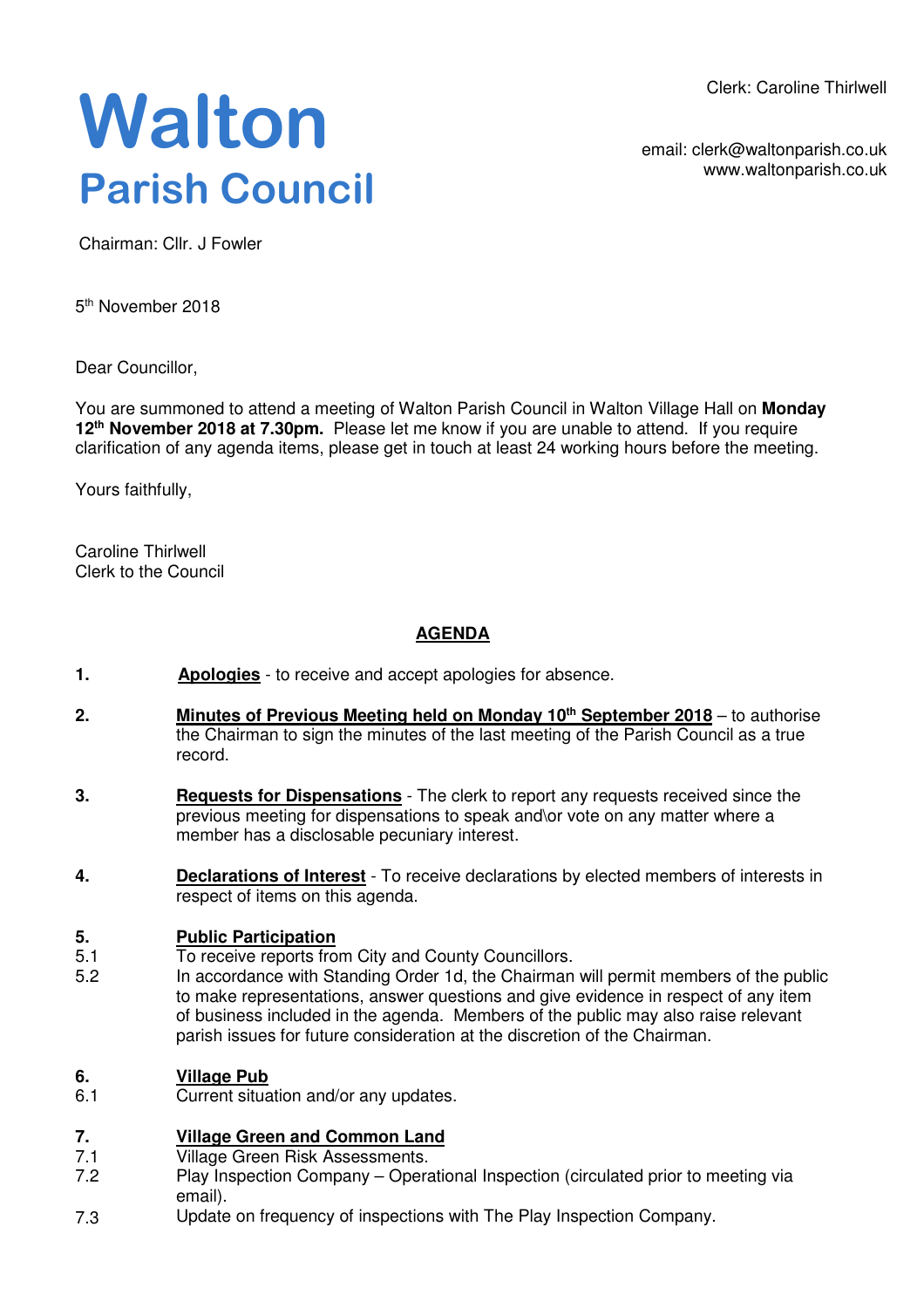Clerk: Caroline Thirlwell

**Walton Parish Council** 

email: clerk@waltonparish.co.uk www.waltonparish.co.uk

Chairman: Cllr. J Fowler

5<sup>th</sup> November 2018

Dear Councillor,

You are summoned to attend a meeting of Walton Parish Council in Walton Village Hall on **Monday 12th November 2018 at 7.30pm.** Please let me know if you are unable to attend. If you require clarification of any agenda items, please get in touch at least 24 working hours before the meeting.

Yours faithfully,

Caroline Thirlwell Clerk to the Council

# **AGENDA**

- **1. Apologies** to receive and accept apologies for absence.
- **2. Minutes of Previous Meeting held on Monday 10th September 2018** to authorise the Chairman to sign the minutes of the last meeting of the Parish Council as a true record.
- **3. Requests for Dispensations** The clerk to report any requests received since the previous meeting for dispensations to speak and\or vote on any matter where a member has a disclosable pecuniary interest.
- **4. Declarations of Interest** To receive declarations by elected members of interests in respect of items on this agenda.

### **5. Public Participation**

- 5.1 To receive reports from City and County Councillors.
- 5.2 In accordance with Standing Order 1d, the Chairman will permit members of the public to make representations, answer questions and give evidence in respect of any item of business included in the agenda. Members of the public may also raise relevant parish issues for future consideration at the discretion of the Chairman.

### **6. Village Pub**

6.1 Current situation and/or any updates.

### **7. Village Green and Common Land**

- 7.1 Village Green Risk Assessments.
- 7.2 Play Inspection Company – Operational Inspection (circulated prior to meeting via email).
- 7.3 Update on frequency of inspections with The Play Inspection Company.